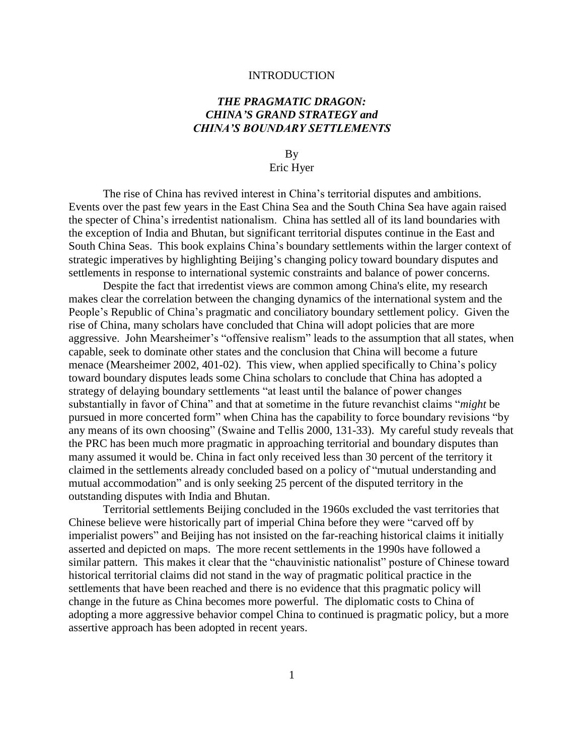### INTRODUCTION

# *THE PRAGMATIC DRAGON: CHINA'S GRAND STRATEGY and CHINA'S BOUNDARY SETTLEMENTS*

By Eric Hyer

The rise of China has revived interest in China's territorial disputes and ambitions. Events over the past few years in the East China Sea and the South China Sea have again raised the specter of China's irredentist nationalism. China has settled all of its land boundaries with the exception of India and Bhutan, but significant territorial disputes continue in the East and South China Seas. This book explains China's boundary settlements within the larger context of strategic imperatives by highlighting Beijing's changing policy toward boundary disputes and settlements in response to international systemic constraints and balance of power concerns.

Despite the fact that irredentist views are common among China's elite, my research makes clear the correlation between the changing dynamics of the international system and the People's Republic of China's pragmatic and conciliatory boundary settlement policy. Given the rise of China, many scholars have concluded that China will adopt policies that are more aggressive. John Mearsheimer's "offensive realism" leads to the assumption that all states, when capable, seek to dominate other states and the conclusion that China will become a future menace (Mearsheimer 2002, 401-02). This view, when applied specifically to China's policy toward boundary disputes leads some China scholars to conclude that China has adopted a strategy of delaying boundary settlements "at least until the balance of power changes substantially in favor of China" and that at sometime in the future revanchist claims "*might* be pursued in more concerted form" when China has the capability to force boundary revisions "by any means of its own choosing" (Swaine and Tellis 2000, 131-33). My careful study reveals that the PRC has been much more pragmatic in approaching territorial and boundary disputes than many assumed it would be. China in fact only received less than 30 percent of the territory it claimed in the settlements already concluded based on a policy of "mutual understanding and mutual accommodation" and is only seeking 25 percent of the disputed territory in the outstanding disputes with India and Bhutan.

Territorial settlements Beijing concluded in the 1960s excluded the vast territories that Chinese believe were historically part of imperial China before they were "carved off by imperialist powers" and Beijing has not insisted on the far-reaching historical claims it initially asserted and depicted on maps. The more recent settlements in the 1990s have followed a similar pattern. This makes it clear that the "chauvinistic nationalist" posture of Chinese toward historical territorial claims did not stand in the way of pragmatic political practice in the settlements that have been reached and there is no evidence that this pragmatic policy will change in the future as China becomes more powerful. The diplomatic costs to China of adopting a more aggressive behavior compel China to continued is pragmatic policy, but a more assertive approach has been adopted in recent years.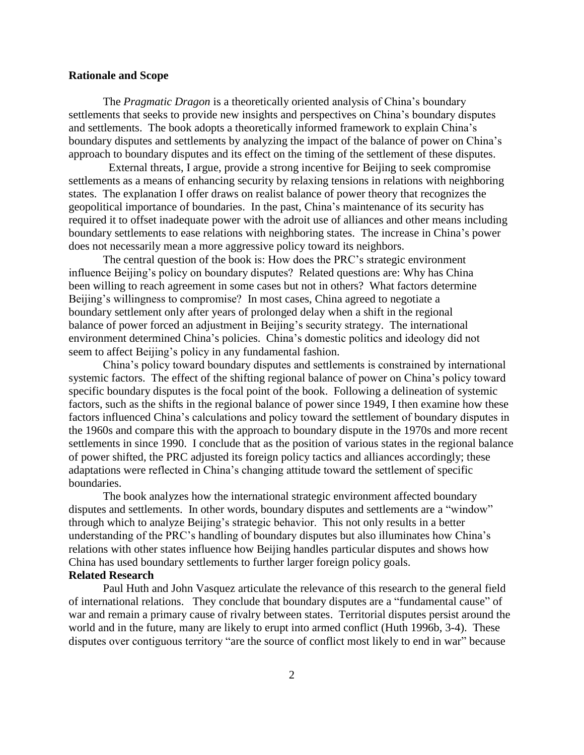### **Rationale and Scope**

The *Pragmatic Dragon* is a theoretically oriented analysis of China's boundary settlements that seeks to provide new insights and perspectives on China's boundary disputes and settlements. The book adopts a theoretically informed framework to explain China's boundary disputes and settlements by analyzing the impact of the balance of power on China's approach to boundary disputes and its effect on the timing of the settlement of these disputes.

 External threats, I argue, provide a strong incentive for Beijing to seek compromise settlements as a means of enhancing security by relaxing tensions in relations with neighboring states. The explanation I offer draws on realist balance of power theory that recognizes the geopolitical importance of boundaries. In the past, China's maintenance of its security has required it to offset inadequate power with the adroit use of alliances and other means including boundary settlements to ease relations with neighboring states. The increase in China's power does not necessarily mean a more aggressive policy toward its neighbors.

The central question of the book is: How does the PRC's strategic environment influence Beijing's policy on boundary disputes? Related questions are: Why has China been willing to reach agreement in some cases but not in others? What factors determine Beijing's willingness to compromise? In most cases, China agreed to negotiate a boundary settlement only after years of prolonged delay when a shift in the regional balance of power forced an adjustment in Beijing's security strategy. The international environment determined China's policies. China's domestic politics and ideology did not seem to affect Beijing's policy in any fundamental fashion.

China's policy toward boundary disputes and settlements is constrained by international systemic factors. The effect of the shifting regional balance of power on China's policy toward specific boundary disputes is the focal point of the book. Following a delineation of systemic factors, such as the shifts in the regional balance of power since 1949, I then examine how these factors influenced China's calculations and policy toward the settlement of boundary disputes in the 1960s and compare this with the approach to boundary dispute in the 1970s and more recent settlements in since 1990. I conclude that as the position of various states in the regional balance of power shifted, the PRC adjusted its foreign policy tactics and alliances accordingly; these adaptations were reflected in China's changing attitude toward the settlement of specific boundaries.

The book analyzes how the international strategic environment affected boundary disputes and settlements. In other words, boundary disputes and settlements are a "window" through which to analyze Beijing's strategic behavior. This not only results in a better understanding of the PRC's handling of boundary disputes but also illuminates how China's relations with other states influence how Beijing handles particular disputes and shows how China has used boundary settlements to further larger foreign policy goals.

# **Related Research**

Paul Huth and John Vasquez articulate the relevance of this research to the general field of international relations. They conclude that boundary disputes are a "fundamental cause" of war and remain a primary cause of rivalry between states. Territorial disputes persist around the world and in the future, many are likely to erupt into armed conflict (Huth 1996b, 3-4). These disputes over contiguous territory "are the source of conflict most likely to end in war" because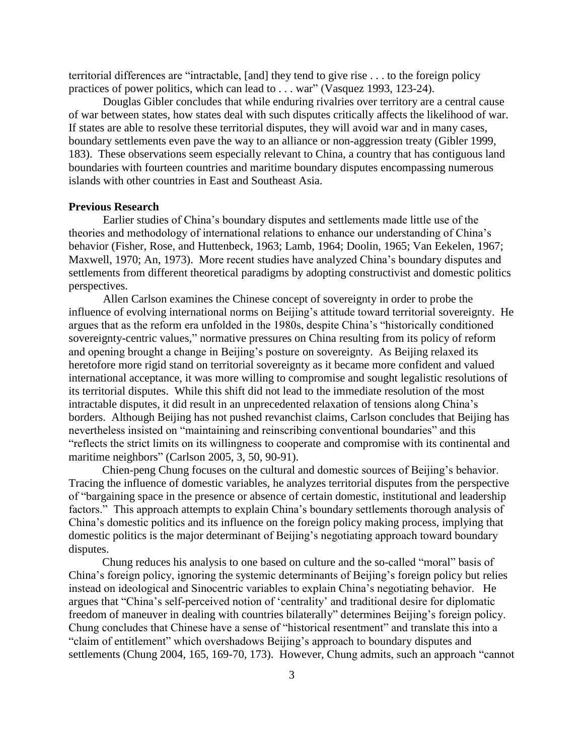territorial differences are "intractable, [and] they tend to give rise . . . to the foreign policy practices of power politics, which can lead to . . . war" (Vasquez 1993, 123-24).

Douglas Gibler concludes that while enduring rivalries over territory are a central cause of war between states, how states deal with such disputes critically affects the likelihood of war. If states are able to resolve these territorial disputes, they will avoid war and in many cases, boundary settlements even pave the way to an alliance or non-aggression treaty (Gibler 1999, 183). These observations seem especially relevant to China, a country that has contiguous land boundaries with fourteen countries and maritime boundary disputes encompassing numerous islands with other countries in East and Southeast Asia.

# **Previous Research**

Earlier studies of China's boundary disputes and settlements made little use of the theories and methodology of international relations to enhance our understanding of China's behavior (Fisher, Rose, and Huttenbeck, 1963; Lamb, 1964; Doolin, 1965; Van Eekelen, 1967; Maxwell, 1970; An, 1973). More recent studies have analyzed China's boundary disputes and settlements from different theoretical paradigms by adopting constructivist and domestic politics perspectives.

Allen Carlson examines the Chinese concept of sovereignty in order to probe the influence of evolving international norms on Beijing's attitude toward territorial sovereignty. He argues that as the reform era unfolded in the 1980s, despite China's "historically conditioned sovereignty-centric values," normative pressures on China resulting from its policy of reform and opening brought a change in Beijing's posture on sovereignty. As Beijing relaxed its heretofore more rigid stand on territorial sovereignty as it became more confident and valued international acceptance, it was more willing to compromise and sought legalistic resolutions of its territorial disputes. While this shift did not lead to the immediate resolution of the most intractable disputes, it did result in an unprecedented relaxation of tensions along China's borders. Although Beijing has not pushed revanchist claims, Carlson concludes that Beijing has nevertheless insisted on "maintaining and reinscribing conventional boundaries" and this "reflects the strict limits on its willingness to cooperate and compromise with its continental and maritime neighbors" (Carlson 2005, 3, 50, 90-91).

Chien-peng Chung focuses on the cultural and domestic sources of Beijing's behavior. Tracing the influence of domestic variables, he analyzes territorial disputes from the perspective of "bargaining space in the presence or absence of certain domestic, institutional and leadership factors." This approach attempts to explain China's boundary settlements thorough analysis of China's domestic politics and its influence on the foreign policy making process, implying that domestic politics is the major determinant of Beijing's negotiating approach toward boundary disputes.

Chung reduces his analysis to one based on culture and the so-called "moral" basis of China's foreign policy, ignoring the systemic determinants of Beijing's foreign policy but relies instead on ideological and Sinocentric variables to explain China's negotiating behavior. He argues that "China's self-perceived notion of 'centrality' and traditional desire for diplomatic freedom of maneuver in dealing with countries bilaterally" determines Beijing's foreign policy. Chung concludes that Chinese have a sense of "historical resentment" and translate this into a "claim of entitlement" which overshadows Beijing's approach to boundary disputes and settlements (Chung 2004, 165, 169-70, 173). However, Chung admits, such an approach "cannot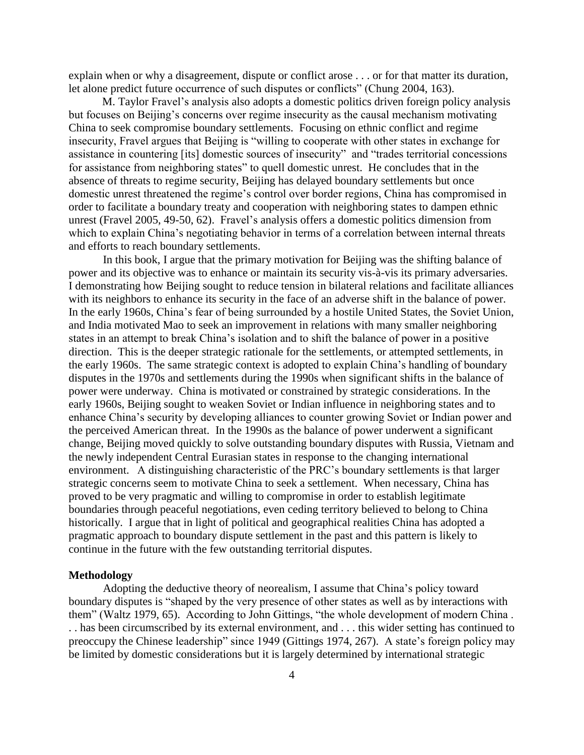explain when or why a disagreement, dispute or conflict arose . . . or for that matter its duration, let alone predict future occurrence of such disputes or conflicts" (Chung 2004, 163).

M. Taylor Fravel's analysis also adopts a domestic politics driven foreign policy analysis but focuses on Beijing's concerns over regime insecurity as the causal mechanism motivating China to seek compromise boundary settlements. Focusing on ethnic conflict and regime insecurity, Fravel argues that Beijing is "willing to cooperate with other states in exchange for assistance in countering [its] domestic sources of insecurity" and "trades territorial concessions for assistance from neighboring states" to quell domestic unrest. He concludes that in the absence of threats to regime security, Beijing has delayed boundary settlements but once domestic unrest threatened the regime's control over border regions, China has compromised in order to facilitate a boundary treaty and cooperation with neighboring states to dampen ethnic unrest (Fravel 2005, 49-50, 62). Fravel's analysis offers a domestic politics dimension from which to explain China's negotiating behavior in terms of a correlation between internal threats and efforts to reach boundary settlements.

In this book, I argue that the primary motivation for Beijing was the shifting balance of power and its objective was to enhance or maintain its security vis-à-vis its primary adversaries. I demonstrating how Beijing sought to reduce tension in bilateral relations and facilitate alliances with its neighbors to enhance its security in the face of an adverse shift in the balance of power. In the early 1960s, China's fear of being surrounded by a hostile United States, the Soviet Union, and India motivated Mao to seek an improvement in relations with many smaller neighboring states in an attempt to break China's isolation and to shift the balance of power in a positive direction. This is the deeper strategic rationale for the settlements, or attempted settlements, in the early 1960s. The same strategic context is adopted to explain China's handling of boundary disputes in the 1970s and settlements during the 1990s when significant shifts in the balance of power were underway. China is motivated or constrained by strategic considerations. In the early 1960s, Beijing sought to weaken Soviet or Indian influence in neighboring states and to enhance China's security by developing alliances to counter growing Soviet or Indian power and the perceived American threat. In the 1990s as the balance of power underwent a significant change, Beijing moved quickly to solve outstanding boundary disputes with Russia, Vietnam and the newly independent Central Eurasian states in response to the changing international environment. A distinguishing characteristic of the PRC's boundary settlements is that larger strategic concerns seem to motivate China to seek a settlement. When necessary, China has proved to be very pragmatic and willing to compromise in order to establish legitimate boundaries through peaceful negotiations, even ceding territory believed to belong to China historically. I argue that in light of political and geographical realities China has adopted a pragmatic approach to boundary dispute settlement in the past and this pattern is likely to continue in the future with the few outstanding territorial disputes.

#### **Methodology**

Adopting the deductive theory of neorealism, I assume that China's policy toward boundary disputes is "shaped by the very presence of other states as well as by interactions with them" (Waltz 1979, 65). According to John Gittings, "the whole development of modern China . . . has been circumscribed by its external environment, and . . . this wider setting has continued to preoccupy the Chinese leadership" since 1949 (Gittings 1974, 267). A state's foreign policy may be limited by domestic considerations but it is largely determined by international strategic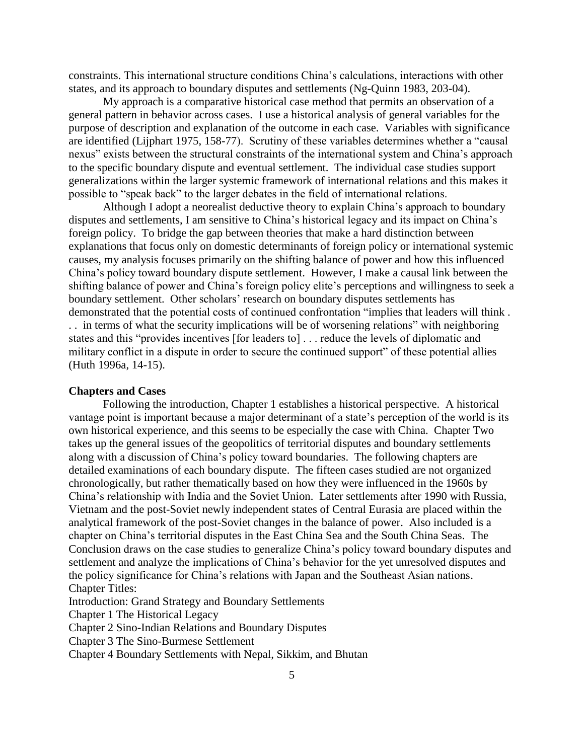constraints. This international structure conditions China's calculations, interactions with other states, and its approach to boundary disputes and settlements (Ng-Quinn 1983, 203-04).

My approach is a comparative historical case method that permits an observation of a general pattern in behavior across cases. I use a historical analysis of general variables for the purpose of description and explanation of the outcome in each case. Variables with significance are identified (Lijphart 1975, 158-77). Scrutiny of these variables determines whether a "causal nexus" exists between the structural constraints of the international system and China's approach to the specific boundary dispute and eventual settlement. The individual case studies support generalizations within the larger systemic framework of international relations and this makes it possible to "speak back" to the larger debates in the field of international relations.

Although I adopt a neorealist deductive theory to explain China's approach to boundary disputes and settlements, I am sensitive to China's historical legacy and its impact on China's foreign policy. To bridge the gap between theories that make a hard distinction between explanations that focus only on domestic determinants of foreign policy or international systemic causes, my analysis focuses primarily on the shifting balance of power and how this influenced China's policy toward boundary dispute settlement. However, I make a causal link between the shifting balance of power and China's foreign policy elite's perceptions and willingness to seek a boundary settlement. Other scholars' research on boundary disputes settlements has demonstrated that the potential costs of continued confrontation "implies that leaders will think . . . in terms of what the security implications will be of worsening relations" with neighboring states and this "provides incentives [for leaders to] . . . reduce the levels of diplomatic and military conflict in a dispute in order to secure the continued support" of these potential allies (Huth 1996a, 14-15).

#### **Chapters and Cases**

Following the introduction, Chapter 1 establishes a historical perspective. A historical vantage point is important because a major determinant of a state's perception of the world is its own historical experience, and this seems to be especially the case with China. Chapter Two takes up the general issues of the geopolitics of territorial disputes and boundary settlements along with a discussion of China's policy toward boundaries. The following chapters are detailed examinations of each boundary dispute. The fifteen cases studied are not organized chronologically, but rather thematically based on how they were influenced in the 1960s by China's relationship with India and the Soviet Union. Later settlements after 1990 with Russia, Vietnam and the post-Soviet newly independent states of Central Eurasia are placed within the analytical framework of the post-Soviet changes in the balance of power. Also included is a chapter on China's territorial disputes in the East China Sea and the South China Seas. The Conclusion draws on the case studies to generalize China's policy toward boundary disputes and settlement and analyze the implications of China's behavior for the yet unresolved disputes and the policy significance for China's relations with Japan and the Southeast Asian nations. Chapter Titles:

Introduction: Grand Strategy and Boundary Settlements

Chapter 1 The Historical Legacy

Chapter 2 Sino-Indian Relations and Boundary Disputes

Chapter 3 The Sino-Burmese Settlement

Chapter 4 Boundary Settlements with Nepal, Sikkim, and Bhutan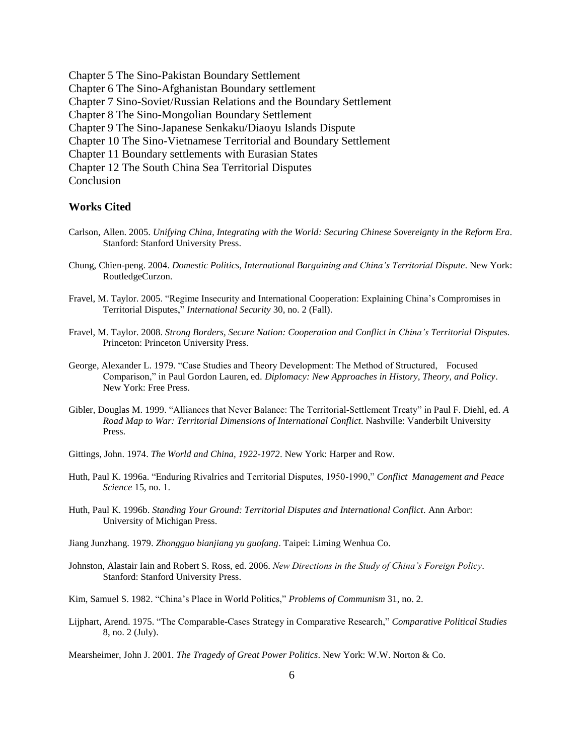Chapter 5 The Sino-Pakistan Boundary Settlement Chapter 6 The Sino-Afghanistan Boundary settlement Chapter 7 Sino-Soviet/Russian Relations and the Boundary Settlement Chapter 8 The Sino-Mongolian Boundary Settlement Chapter 9 The Sino-Japanese Senkaku/Diaoyu Islands Dispute Chapter 10 The Sino-Vietnamese Territorial and Boundary Settlement Chapter 11 Boundary settlements with Eurasian States Chapter 12 The South China Sea Territorial Disputes **Conclusion** 

## **Works Cited**

- Carlson, Allen. 2005. *Unifying China, Integrating with the World: Securing Chinese Sovereignty in the Reform Era*. Stanford: Stanford University Press.
- Chung, Chien-peng. 2004. *Domestic Politics, International Bargaining and China's Territorial Dispute*. New York: RoutledgeCurzon.
- Fravel, M. Taylor. 2005. "Regime Insecurity and International Cooperation: Explaining China's Compromises in Territorial Disputes," *International Security* 30, no. 2 (Fall).
- Fravel, M. Taylor. 2008. *Strong Borders, Secure Nation: Cooperation and Conflict in China's Territorial Disputes.* Princeton: Princeton University Press.
- George, Alexander L. 1979. "Case Studies and Theory Development: The Method of Structured, Focused Comparison," in Paul Gordon Lauren, ed. *Diplomacy: New Approaches in History, Theory, and Policy*. New York: Free Press.
- Gibler, Douglas M. 1999. "Alliances that Never Balance: The Territorial-Settlement Treaty" in Paul F. Diehl, ed. *A Road Map to War: Territorial Dimensions of International Conflict*. Nashville: Vanderbilt University Press.
- Gittings, John. 1974. *The World and China, 1922-1972*. New York: Harper and Row.
- Huth, Paul K. 1996a. "Enduring Rivalries and Territorial Disputes, 1950-1990," *Conflict Management and Peace Science* 15, no. 1.
- Huth, Paul K. 1996b. *Standing Your Ground: Territorial Disputes and International Conflict.* Ann Arbor: University of Michigan Press.
- Jiang Junzhang. 1979. *Zhongguo bianjiang yu guofang*. Taipei: Liming Wenhua Co.
- Johnston, Alastair Iain and Robert S. Ross, ed. 2006. *New Directions in the Study of China's Foreign Policy*. Stanford: Stanford University Press.

Kim, Samuel S. 1982. "China's Place in World Politics," *Problems of Communism* 31, no. 2.

Lijphart, Arend. 1975. "The Comparable-Cases Strategy in Comparative Research," *Comparative Political Studies* 8, no. 2 (July).

Mearsheimer, John J. 2001. *The Tragedy of Great Power Politics*. New York: W.W. Norton & Co.